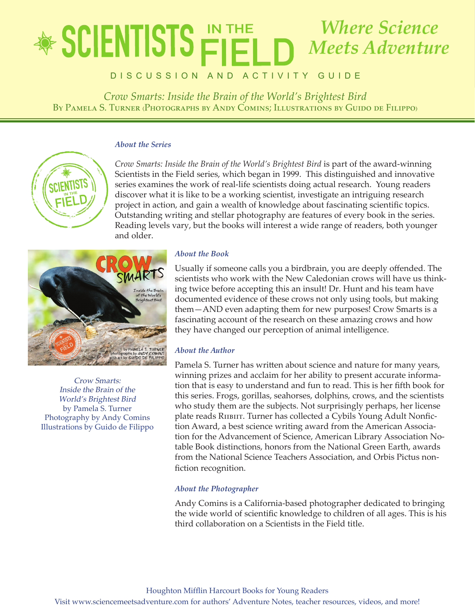## lete in the state of *Crow Smarts: Inside the Brain of the World's Brightest Bird* **By Pamela S. Turner (Photographs by Andy Comins; Illustrations by Guido de Filippo)** *Where Science Meets Adventure*

DISCUSSION AND ACTIVITY GUIDE

*Crow Smarts: Inside the Brain of the World's Brightest Bird* By Pamela S. Turner (Photographs by Andy Comins: Illustrations by Guido de Filippo)

### *About the Series*



*Crow Smarts: Inside the Brain of the World's Brightest Bird* is part of the award-winning Scientists in the Field series, which began in 1999. This distinguished and innovative series examines the work of real-life scientists doing actual research. Young readers discover what it is like to be a working scientist, investigate an intriguing research project in action, and gain a wealth of knowledge about fascinating scientific topics. Outstanding writing and stellar photography are features of every book in the series. Reading levels vary, but the books will interest a wide range of readers, both younger and older.



Crow Smarts: Inside the Brain of the World's Brightest Bird by Pamela S. Turner Photography by Andy Comins Illustrations by Guido de Filippo

## *About the Book*

Usually if someone calls you a birdbrain, you are deeply offended. The scientists who work with the New Caledonian crows will have us thinking twice before accepting this an insult! Dr. Hunt and his team have documented evidence of these crows not only using tools, but making them—AND even adapting them for new purposes! Crow Smarts is a fascinating account of the research on these amazing crows and how they have changed our perception of animal intelligence.

## *About the Author*

Pamela S. Turner has written about science and nature for many years, winning prizes and acclaim for her ability to present accurate information that is easy to understand and fun to read. This is her fifth book for this series. Frogs, gorillas, seahorses, dolphins, crows, and the scientists who study them are the subjects. Not surprisingly perhaps, her license plate reads RIIBIIT. Turner has collected a Cybils Young Adult Nonfiction Award, a best science writing award from the American Association for the Advancement of Science, American Library Association Notable Book distinctions, honors from the National Green Earth, awards from the National Science Teachers Association, and Orbis Pictus nonfiction recognition.

## *About the Photographer*

Andy Comins is a California-based photographer dedicated to bringing the wide world of scientific knowledge to children of all ages. This is his third collaboration on a Scientists in the Field title.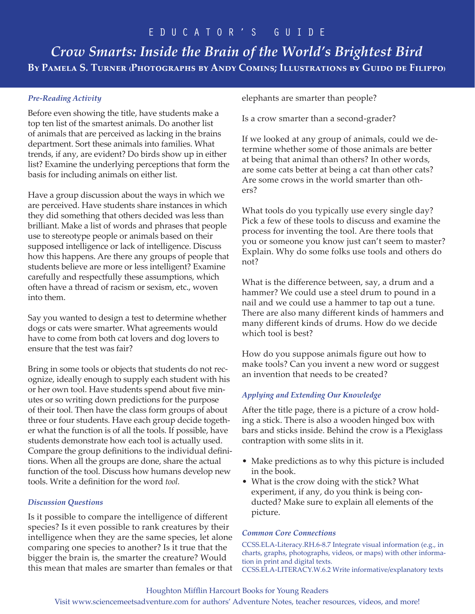*Crow Smarts: Inside the Brain of the World's Brightest Bird* **By Pamela S. Turner (Photographs by Andy Comins; Illustrations by Guido de Filippo)**

### *Pre-Reading Activity*

Before even showing the title, have students make a top ten list of the smartest animals. Do another list of animals that are perceived as lacking in the brains department. Sort these animals into families. What trends, if any, are evident? Do birds show up in either list? Examine the underlying perceptions that form the basis for including animals on either list.

Have a group discussion about the ways in which we are perceived. Have students share instances in which they did something that others decided was less than brilliant. Make a list of words and phrases that people use to stereotype people or animals based on their supposed intelligence or lack of intelligence. Discuss how this happens. Are there any groups of people that students believe are more or less intelligent? Examine carefully and respectfully these assumptions, which often have a thread of racism or sexism, etc., woven into them.

Say you wanted to design a test to determine whether dogs or cats were smarter. What agreements would have to come from both cat lovers and dog lovers to ensure that the test was fair?

Bring in some tools or objects that students do not recognize, ideally enough to supply each student with his or her own tool. Have students spend about five minutes or so writing down predictions for the purpose of their tool. Then have the class form groups of about three or four students. Have each group decide together what the function is of all the tools. If possible, have students demonstrate how each tool is actually used. Compare the group definitions to the individual definitions. When all the groups are done, share the actual function of the tool. Discuss how humans develop new tools. Write a definition for the word *tool.*

### *Discussion Questions*

Is it possible to compare the intelligence of different species? Is it even possible to rank creatures by their intelligence when they are the same species, let alone comparing one species to another? Is it true that the bigger the brain is, the smarter the creature? Would this mean that males are smarter than females or that elephants are smarter than people?

Is a crow smarter than a second-grader?

If we looked at any group of animals, could we determine whether some of those animals are better at being that animal than others? In other words, are some cats better at being a cat than other cats? Are some crows in the world smarter than others?

What tools do you typically use every single day? Pick a few of these tools to discuss and examine the process for inventing the tool. Are there tools that you or someone you know just can't seem to master? Explain. Why do some folks use tools and others do not?

What is the difference between, say, a drum and a hammer? We could use a steel drum to pound in a nail and we could use a hammer to tap out a tune. There are also many different kinds of hammers and many different kinds of drums. How do we decide which tool is best?

How do you suppose animals figure out how to make tools? Can you invent a new word or suggest an invention that needs to be created?

## *Applying and Extending Our Knowledge*

After the title page, there is a picture of a crow holding a stick. There is also a wooden hinged box with bars and sticks inside. Behind the crow is a Plexiglass contraption with some slits in it.

- Make predictions as to why this picture is included in the book.
- What is the crow doing with the stick? What experiment, if any, do you think is being conducted? Make sure to explain all elements of the picture.

### *Common Core Connections*

CCSS.ELA-Literacy.RH.6-8.7 Integrate visual information (e.g., in charts, graphs, photographs, videos, or maps) with other information in print and digital texts. CCSS.ELA-LITERACY.W.6.2 Write informative/explanatory texts

### Houghton Mifflin Harcourt Books for Young Readers

Visit www.sciencemeetsadventure.com for authors' Adventure Notes, teacher resources, videos, and more!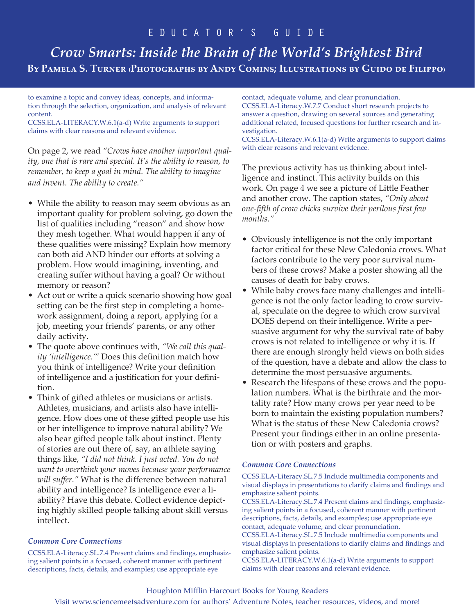# *Crow Smarts: Inside the Brain of the World's Brightest Bird* **By Pamela S. Turner (Photographs by Andy Comins; Illustrations by Guido de Filippo)**

to examine a topic and convey ideas, concepts, and information through the selection, organization, and analysis of relevant content.

CCSS.ELA-LITERACY.W.6.1(a-d) Write arguments to support claims with clear reasons and relevant evidence.

On page 2, we read *"Crows have another important quality, one that is rare and special. It's the ability to reason, to remember, to keep a goal in mind. The ability to imagine and invent. The ability to create."*

- While the ability to reason may seem obvious as an important quality for problem solving, go down the list of qualities including "reason" and show how they mesh together. What would happen if any of these qualities were missing? Explain how memory can both aid AND hinder our efforts at solving a problem. How would imagining, inventing, and creating suffer without having a goal? Or without memory or reason?
- Act out or write a quick scenario showing how goal setting can be the first step in completing a homework assignment, doing a report, applying for a job, meeting your friends' parents, or any other daily activity.
- The quote above continues with, *"We call this quality 'intelligence.'"* Does this definition match how you think of intelligence? Write your definition of intelligence and a justification for your definition.
- Think of gifted athletes or musicians or artists. Athletes, musicians, and artists also have intelligence. How does one of these gifted people use his or her intelligence to improve natural ability? We also hear gifted people talk about instinct. Plenty of stories are out there of, say, an athlete saying things like, *"I did not think. I just acted. You do not want to overthink your moves because your performance will suffer."* What is the difference between natural ability and intelligence? Is intelligence ever a liability? Have this debate. Collect evidence depicting highly skilled people talking about skill versus intellect.

### *Common Core Connections*

CCSS.ELA-Literacy.SL.7.4 Present claims and findings, emphasizing salient points in a focused, coherent manner with pertinent descriptions, facts, details, and examples; use appropriate eye

contact, adequate volume, and clear pronunciation. CCSS.ELA-Literacy.W.7.7 Conduct short research projects to answer a question, drawing on several sources and generating additional related, focused questions for further research and investigation.

CCSS.ELA-Literacy.W.6.1(a-d) Write arguments to support claims with clear reasons and relevant evidence.

The previous activity has us thinking about intelligence and instinct. This activity builds on this work. On page 4 we see a picture of Little Feather and another crow. The caption states, *"Only about one-fifth of crow chicks survive their perilous first few months."* 

- Obviously intelligence is not the only important factor critical for these New Caledonia crows. What factors contribute to the very poor survival numbers of these crows? Make a poster showing all the causes of death for baby crows.
- While baby crows face many challenges and intelligence is not the only factor leading to crow survival, speculate on the degree to which crow survival DOES depend on their intelligence. Write a persuasive argument for why the survival rate of baby crows is not related to intelligence or why it is. If there are enough strongly held views on both sides of the question, have a debate and allow the class to determine the most persuasive arguments.
- Research the lifespans of these crows and the population numbers. What is the birthrate and the mortality rate? How many crows per year need to be born to maintain the existing population numbers? What is the status of these New Caledonia crows? Present your findings either in an online presentation or with posters and graphs.

### *Common Core Connections*

CCSS.ELA-Literacy.SL.7.5 Include multimedia components and visual displays in presentations to clarify claims and findings and emphasize salient points.

CCSS.ELA-Literacy.SL.7.4 Present claims and findings, emphasizing salient points in a focused, coherent manner with pertinent descriptions, facts, details, and examples; use appropriate eye contact, adequate volume, and clear pronunciation.

CCSS.ELA-Literacy.SL.7.5 Include multimedia components and visual displays in presentations to clarify claims and findings and emphasize salient points.

CCSS.ELA-LITERACY.W.6.1(a-d) Write arguments to support claims with clear reasons and relevant evidence.

### Houghton Mifflin Harcourt Books for Young Readers

Visit www.sciencemeetsadventure.com for authors' Adventure Notes, teacher resources, videos, and more!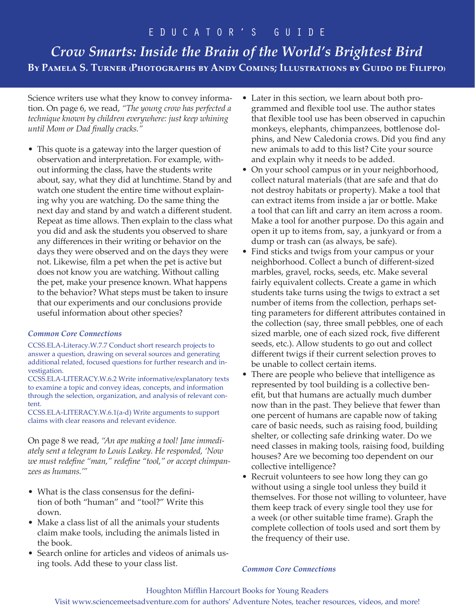# *Crow Smarts: Inside the Brain of the World's Brightest Bird* **By Pamela S. Turner (Photographs by Andy Comins; Illustrations by Guido de Filippo)**

Science writers use what they know to convey information. On page 6, we read, *"The young crow has perfected a technique known by children everywhere: just keep whining until Mom or Dad finally cracks."*

• This quote is a gateway into the larger question of observation and interpretation. For example, without informing the class, have the students write about, say, what they did at lunchtime. Stand by and watch one student the entire time without explaining why you are watching. Do the same thing the next day and stand by and watch a different student. Repeat as time allows. Then explain to the class what you did and ask the students you observed to share any differences in their writing or behavior on the days they were observed and on the days they were not. Likewise, film a pet when the pet is active but does not know you are watching. Without calling the pet, make your presence known. What happens to the behavior? What steps must be taken to insure that our experiments and our conclusions provide useful information about other species?

### *Common Core Connections*

CCSS.ELA-Literacy.W.7.7 Conduct short research projects to answer a question, drawing on several sources and generating additional related, focused questions for further research and investigation.

CCSS.ELA-LITERACY.W.6.2 Write informative/explanatory texts to examine a topic and convey ideas, concepts, and information through the selection, organization, and analysis of relevant content.

CCSS.ELA-LITERACY.W.6.1(a-d) Write arguments to support claims with clear reasons and relevant evidence.

On page 8 we read, *"An ape making a tool! Jane immediately sent a telegram to Louis Leakey. He responded, 'Now we must redefine "man," redefine "tool," or accept chimpanzees as humans.'"* 

- What is the class consensus for the definition of both "human" and "tool?" Write this down.
- Make a class list of all the animals your students claim make tools, including the animals listed in the book.
- Search online for articles and videos of animals using tools. Add these to your class list.
- Later in this section, we learn about both programmed and flexible tool use. The author states that flexible tool use has been observed in capuchin monkeys, elephants, chimpanzees, bottlenose dolphins, and New Caledonia crows. Did you find any new animals to add to this list? Cite your source and explain why it needs to be added.
- On your school campus or in your neighborhood, collect natural materials (that are safe and that do not destroy habitats or property). Make a tool that can extract items from inside a jar or bottle. Make a tool that can lift and carry an item across a room. Make a tool for another purpose. Do this again and open it up to items from, say, a junkyard or from a dump or trash can (as always, be safe).
- Find sticks and twigs from your campus or your neighborhood. Collect a bunch of different-sized marbles, gravel, rocks, seeds, etc. Make several fairly equivalent collects. Create a game in which students take turns using the twigs to extract a set number of items from the collection, perhaps setting parameters for different attributes contained in the collection (say, three small pebbles, one of each sized marble, one of each sized rock, five different seeds, etc.). Allow students to go out and collect different twigs if their current selection proves to be unable to collect certain items.
- There are people who believe that intelligence as represented by tool building is a collective benefit, but that humans are actually much dumber now than in the past. They believe that fewer than one percent of humans are capable now of taking care of basic needs, such as raising food, building shelter, or collecting safe drinking water. Do we need classes in making tools, raising food, building houses? Are we becoming too dependent on our collective intelligence?
- Recruit volunteers to see how long they can go without using a single tool unless they build it themselves. For those not willing to volunteer, have them keep track of every single tool they use for a week (or other suitable time frame). Graph the complete collection of tools used and sort them by the frequency of their use.

#### *Common Core Connections*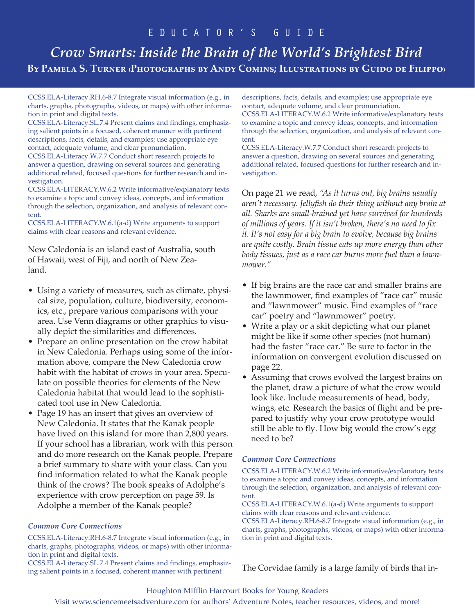# *Crow Smarts: Inside the Brain of the World's Brightest Bird* **By Pamela S. Turner (Photographs by Andy Comins; Illustrations by Guido de Filippo)**

CCSS.ELA-Literacy.RH.6-8.7 Integrate visual information (e.g., in charts, graphs, photographs, videos, or maps) with other information in print and digital texts.

CCSS.ELA-Literacy.SL.7.4 Present claims and findings, emphasizing salient points in a focused, coherent manner with pertinent descriptions, facts, details, and examples; use appropriate eye contact, adequate volume, and clear pronunciation.

CCSS.ELA-Literacy.W.7.7 Conduct short research projects to answer a question, drawing on several sources and generating additional related, focused questions for further research and investigation.

CCSS.ELA-LITERACY.W.6.2 Write informative/explanatory texts to examine a topic and convey ideas, concepts, and information through the selection, organization, and analysis of relevant content.

CCSS.ELA-LITERACY.W.6.1(a-d) Write arguments to support claims with clear reasons and relevant evidence.

New Caledonia is an island east of Australia, south of Hawaii, west of Fiji, and north of New Zealand.

- Using a variety of measures, such as climate, physical size, population, culture, biodiversity, economics, etc., prepare various comparisons with your area. Use Venn diagrams or other graphics to visually depict the similarities and differences.
- Prepare an online presentation on the crow habitat in New Caledonia. Perhaps using some of the information above, compare the New Caledonia crow habit with the habitat of crows in your area. Speculate on possible theories for elements of the New Caledonia habitat that would lead to the sophisticated tool use in New Caledonia.
- Page 19 has an insert that gives an overview of New Caledonia. It states that the Kanak people have lived on this island for more than 2,800 years. If your school has a librarian, work with this person and do more research on the Kanak people. Prepare a brief summary to share with your class. Can you find information related to what the Kanak people think of the crows? The book speaks of Adolphe's experience with crow perception on page 59. Is Adolphe a member of the Kanak people?

### *Common Core Connections*

CCSS.ELA-Literacy.RH.6-8.7 Integrate visual information (e.g., in charts, graphs, photographs, videos, or maps) with other information in print and digital texts.

CCSS.ELA-Literacy.SL.7.4 Present claims and findings, emphasizing salient points in a focused, coherent manner with pertinent

descriptions, facts, details, and examples; use appropriate eye contact, adequate volume, and clear pronunciation. CCSS.ELA-LITERACY.W.6.2 Write informative/explanatory texts

to examine a topic and convey ideas, concepts, and information through the selection, organization, and analysis of relevant content.

CCSS.ELA-Literacy.W.7.7 Conduct short research projects to answer a question, drawing on several sources and generating additional related, focused questions for further research and investigation.

On page 21 we read, *"As it turns out, big brains usually aren't necessary. Jellyfish do their thing without any brain at all. Sharks are small-brained yet have survived for hundreds of millions of years. If it isn't broken, there's no need to fix it. It's not easy for a big brain to evolve, because big brains are quite costly. Brain tissue eats up more energy than other body tissues, just as a race car burns more fuel than a lawnmower."*

- If big brains are the race car and smaller brains are the lawnmower, find examples of "race car" music and "lawnmower" music. Find examples of "race car" poetry and "lawnmower" poetry.
- Write a play or a skit depicting what our planet might be like if some other species (not human) had the faster "race car." Be sure to factor in the information on convergent evolution discussed on page 22.
- Assuming that crows evolved the largest brains on the planet, draw a picture of what the crow would look like. Include measurements of head, body, wings, etc. Research the basics of flight and be prepared to justify why your crow prototype would still be able to fly. How big would the crow's egg need to be?

### *Common Core Connections*

CCSS.ELA-LITERACY.W.6.2 Write informative/explanatory texts to examine a topic and convey ideas, concepts, and information through the selection, organization, and analysis of relevant content.

CCSS.ELA-LITERACY.W.6.1(a-d) Write arguments to support claims with clear reasons and relevant evidence.

CCSS.ELA-Literacy.RH.6-8.7 Integrate visual information (e.g., in charts, graphs, photographs, videos, or maps) with other information in print and digital texts.

The Corvidae family is a large family of birds that in-

#### Houghton Mifflin Harcourt Books for Young Readers

Visit www.sciencemeetsadventure.com for authors' Adventure Notes, teacher resources, videos, and more!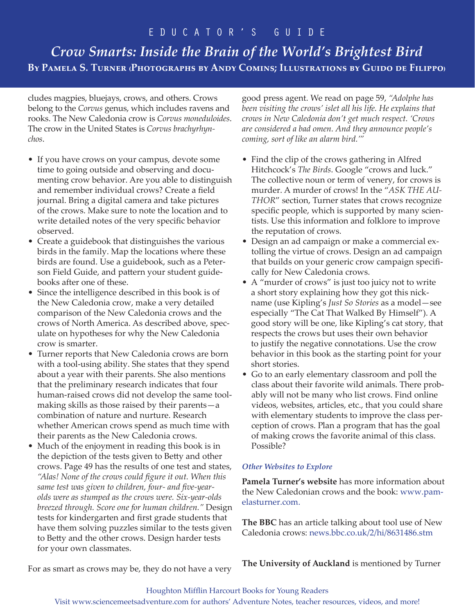# *Crow Smarts: Inside the Brain of the World's Brightest Bird* **By Pamela S. Turner (Photographs by Andy Comins; Illustrations by Guido de Filippo)**

cludes magpies, bluejays, crows, and others. Crows belong to the *Corvus* genus, which includes ravens and rooks. The New Caledonia crow is *Corvus moneduloides*. The crow in the United States is *Corvus brachyrhynchos*.

- If you have crows on your campus, devote some time to going outside and observing and documenting crow behavior. Are you able to distinguish and remember individual crows? Create a field journal. Bring a digital camera and take pictures of the crows. Make sure to note the location and to write detailed notes of the very specific behavior observed.
- Create a guidebook that distinguishes the various birds in the family. Map the locations where these birds are found. Use a guidebook, such as a Peterson Field Guide, and pattern your student guidebooks after one of these.
- Since the intelligence described in this book is of the New Caledonia crow, make a very detailed comparison of the New Caledonia crows and the crows of North America. As described above, speculate on hypotheses for why the New Caledonia crow is smarter.
- Turner reports that New Caledonia crows are born with a tool-using ability. She states that they spend about a year with their parents. She also mentions that the preliminary research indicates that four human-raised crows did not develop the same toolmaking skills as those raised by their parents—a combination of nature and nurture. Research whether American crows spend as much time with their parents as the New Caledonia crows.
- Much of the enjoyment in reading this book is in the depiction of the tests given to Betty and other crows. Page 49 has the results of one test and states, *"Alas! None of the crows could figure it out. When this same test was given to children, four- and five-yearolds were as stumped as the crows were. Six-year-olds breezed through. Score one for human children."* Design tests for kindergarten and first grade students that have them solving puzzles similar to the tests given to Betty and the other crows. Design harder tests for your own classmates.

good press agent. We read on page 59, *"Adolphe has been visiting the crows' islet all his life. He explains that crows in New Caledonia don't get much respect. 'Crows are considered a bad omen. And they announce people's coming, sort of like an alarm bird.'"*

- Find the clip of the crows gathering in Alfred Hitchcock's *The Birds*. Google "crows and luck." The collective noun or term of venery, for crows is murder. A murder of crows! In the "*ASK THE AU-THOR*" section, Turner states that crows recognize specific people, which is supported by many scientists. Use this information and folklore to improve the reputation of crows.
- Design an ad campaign or make a commercial extolling the virtue of crows. Design an ad campaign that builds on your generic crow campaign specifically for New Caledonia crows.
- A "murder of crows" is just too juicy not to write a short story explaining how they got this nickname (use Kipling's *Just So Stories* as a model—see especially "The Cat That Walked By Himself"). A good story will be one, like Kipling's cat story, that respects the crows but uses their own behavior to justify the negative connotations. Use the crow behavior in this book as the starting point for your short stories.
- Go to an early elementary classroom and poll the class about their favorite wild animals. There probably will not be many who list crows. Find online videos, websites, articles, etc., that you could share with elementary students to improve the class perception of crows. Plan a program that has the goal of making crows the favorite animal of this class. Possible?

### *Other Websites to Explore*

**Pamela Turner's website** has more information about the New Caledonian crows and the book: www.pamelasturner.com.

**The BBC** has an article talking about tool use of New Caledonia crows: news.bbc.co.uk/2/hi/8631486.stm

**The University of Auckland** is mentioned by Turner

For as smart as crows may be, they do not have a very